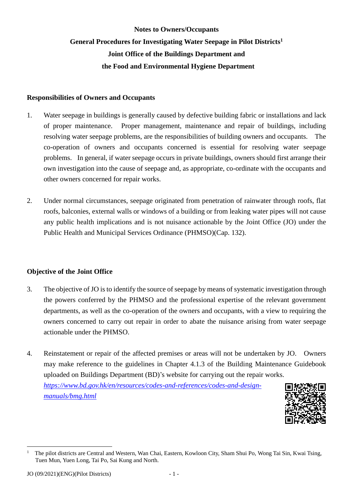# **Notes to Owners/Occupants General Procedures for Investigating Water Seepage in Pilot Districts1 Joint Office of the Buildings Department and the Food and Environmental Hygiene Department**

#### **Responsibilities of Owners and Occupants**

- 1. Water seepage in buildings is generally caused by defective building fabric or installations and lack of proper maintenance. Proper management, maintenance and repair of buildings, including resolving water seepage problems, are the responsibilities of building owners and occupants. The co-operation of owners and occupants concerned is essential for resolving water seepage problems. In general, if water seepage occurs in private buildings, owners should first arrange their own investigation into the cause of seepage and, as appropriate, co-ordinate with the occupants and other owners concerned for repair works.
- roofs, balconies, external walls or windows of a building or from leaking water pipes will not cause any public health implications and is not nuisance actionable by the Joint Office (JO) under the 2. Under normal circumstances, seepage originated from penetration of rainwater through roofs, flat Public Health and Municipal Services Ordinance (PHMSO)(Cap. 132).

#### **Objective of the Joint Office**

- 3. The objective of JO is to identify the source of seepage by means of systematic investigation through the powers conferred by the PHMSO and the professional expertise of the relevant government departments, as well as the co-operation of the owners and occupants, with a view to requiring the owners concerned to carry out repair in order to abate the nuisance arising from water seepage actionable under the PHMSO.
- 4. Reinstatement or repair of the affected premises or areas will not be undertaken by JO. Owners may make reference to the guidelines in Chapter 4.1.3 of the Building Maintenance Guidebook uploaded on Buildings Department (BD)'s website for carrying out the repair works.

*[https://www.bd.gov.hk/en/resources/codes-and-references/codes-and-design](https://www.bd.gov.hk/en/resources/codes-and-references/codes-and-design-manuals/bmg.html)[manuals/bmg.html](https://www.bd.gov.hk/en/resources/codes-and-references/codes-and-design-manuals/bmg.html)*



 Tuen Mun, Yuen Long, Tai Po, Sai Kung and North. The pilot districts are Central and Western, Wan Chai, Eastern, Kowloon City, Sham Shui Po, Wong Tai Sin, Kwai Tsing, 1

1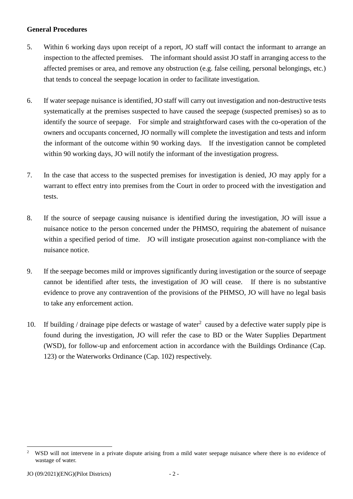#### **General Procedures**

- 5. Within 6 working days upon receipt of a report, JO staff will contact the informant to arrange an inspection to the affected premises. The informant should assist JO staff in arranging access to the affected premises or area, and remove any obstruction (e.g. false ceiling, personal belongings, etc.) that tends to conceal the seepage location in order to facilitate investigation.
- 6. If water seepage nuisance is identified, JO staff will carry out investigation and non-destructive tests identify the source of seepage. For simple and straightforward cases with the co-operation of the owners and occupants concerned, JO normally will complete the investigation and tests and inform the informant of the outcome within 90 working days. If the investigation cannot be completed systematically at the premises suspected to have caused the seepage (suspected premises) so as to within 90 working days, JO will notify the informant of the investigation progress.
- 7. In the case that access to the suspected premises for investigation is denied, JO may apply for a warrant to effect entry into premises from the Court in order to proceed with the investigation and tests.
- 8. If the source of seepage causing nuisance is identified during the investigation, JO will issue a nuisance notice to the person concerned under the PHMSO, requiring the abatement of nuisance within a specified period of time. JO will instigate prosecution against non-compliance with the nuisance notice.
- 9. If the seepage becomes mild or improves significantly during investigation or the source of seepage cannot be identified after tests, the investigation of JO will cease. If there is no substantive evidence to prove any contravention of the provisions of the PHMSO, JO will have no legal basis to take any enforcement action.
- 10. If building / drainage pipe defects or wastage of water<sup>2</sup> caused by a defective water supply pipe is found during the investigation, JO will refer the case to BD or the Water Supplies Department (WSD), for follow-up and enforcement action in accordance with the Buildings Ordinance (Cap. 123) or the Waterworks Ordinance (Cap. 102) respectively.

1

 2 wastage of water. WSD will not intervene in a private dispute arising from a mild water seepage nuisance where there is no evidence of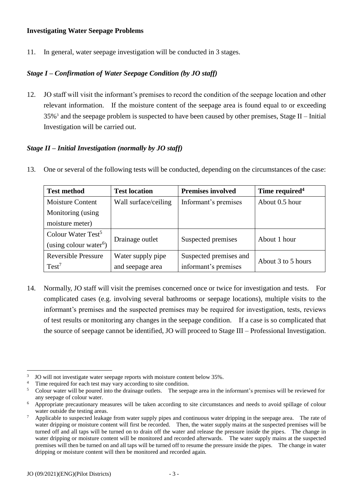#### **Investigating Water Seepage Problems**

11. In general, water seepage investigation will be conducted in 3 stages.

### *Stage I – Confirmation of Water Seepage Condition (by JO staff)*

 12. JO staff will visit the informant's premises to record the condition of the seepage location and other relevant information. If the moisture content of the seepage area is found equal to or exceeding  $35\%$ <sup>3</sup> and the seepage problem is suspected to have been caused by other premises, Stage II – Initial Investigation will be carried out.

#### *Stage II – Initial Investigation (normally by JO staff)*

13. One or several of the following tests will be conducted, depending on the circumstances of the case:

| <b>Test method</b>                 | <b>Test location</b> | <b>Premises involved</b> | Time required <sup>4</sup> |  |
|------------------------------------|----------------------|--------------------------|----------------------------|--|
| <b>Moisture Content</b>            | Wall surface/ceiling | Informant's premises     | About 0.5 hour             |  |
| Monitoring (using                  |                      |                          |                            |  |
| moisture meter)                    |                      |                          |                            |  |
| Colour Water Test <sup>5</sup>     |                      |                          |                            |  |
| (using colour water <sup>6</sup> ) | Drainage outlet      | Suspected premises       | About 1 hour               |  |
| <b>Reversible Pressure</b>         | Water supply pipe    | Suspected premises and   |                            |  |
| $Test^7$                           | and seepage area     | informant's premises     | About 3 to 5 hours         |  |

 14. Normally, JO staff will visit the premises concerned once or twice for investigation and tests. For complicated cases (e.g. involving several bathrooms or seepage locations), multiple visits to the informant's premises and the suspected premises may be required for investigation, tests, reviews the source of seepage cannot be identified, JO will proceed to Stage III – Professional Investigation. of test results or monitoring any changes in the seepage condition. If a case is so complicated that

<sup>1</sup>  $\overline{3}$ 

 $\overline{4}$ 

 $\overline{5}$ any seepage of colour water. JO will not investigate water seepage reports with moisture content below 35%.<br>Time required for each test may vary according to site condition.<br>Colour water will be poured into the drainage outlets. The seepage area in th

<sup>6</sup> water outside the testing areas. Appropriate precautionary measures will be taken according to site circumstances and needs to avoid spillage of colour

 $\overline{7}$  water dripping or moisture content will first be recorded. Then, the water supply mains at the suspected premises will be turned off and all taps will be turned on to drain off the water and release the pressure inside the pipes. The change in water dripping or moisture content will be monitored and recorded afterwards. The water supply mains at the suspected premises will then be turned on and all taps will be turned off to resume the pressure inside the pipes. The change in water dripping or moisture content will then be monitored and recorded again. Applicable to suspected leakage from water supply pipes and continuous water dripping in the seepage area. The rate of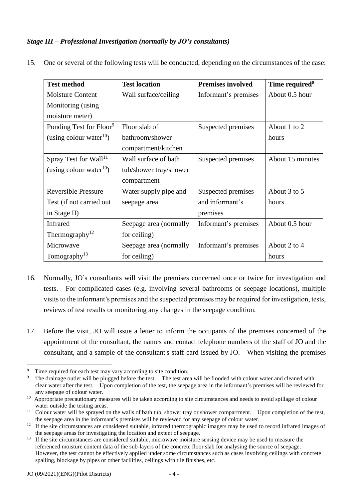## *Stage III – Professional Investigation (normally by JO's consultants)*

<span id="page-3-0"></span>

| <b>Test method</b>                  | <b>Test location</b>   | <b>Premises involved</b> | Time required <sup>8</sup> |
|-------------------------------------|------------------------|--------------------------|----------------------------|
| Moisture Content                    | Wall surface/ceiling   | Informant's premises     | About 0.5 hour             |
| Monitoring (using                   |                        |                          |                            |
| moisture meter)                     |                        |                          |                            |
| Ponding Test for Floor <sup>9</sup> | Floor slab of          | Suspected premises       | About 1 to 2               |
| (using colour water $^{10}$ )       | bathroom/shower        |                          | hours                      |
|                                     | compartment/kitchen    |                          |                            |
| Spray Test for Wall <sup>11</sup>   | Wall surface of bath   | Suspected premises       | About 15 minutes           |
| (using colour water $^{10}$ )       | tub/shower tray/shower |                          |                            |
|                                     | compartment            |                          |                            |
| <b>Reversible Pressure</b>          | Water supply pipe and  | Suspected premises       | About 3 to 5               |
| Test (if not carried out            | seepage area           | and informant's          | hours                      |
| in Stage II)                        |                        | premises                 |                            |
| <b>Infrared</b>                     | Seepage area (normally | Informant's premises     | About 0.5 hour             |
| Thermography <sup>12</sup>          | for ceiling)           |                          |                            |
| Microwave                           | Seepage area (normally | Informant's premises     | About 2 to 4               |
| Tomography <sup>13</sup>            | for ceiling)           |                          | hours                      |

15. One or several of the following tests will be conducted, depending on the circumstances of the case:

- 16. Normally, JO's consultants will visit the premises concerned once or twice for investigation and visits to the informant's premises and the suspected premises may be required for investigation, tests, tests. For complicated cases (e.g. involving several bathrooms or seepage locations), multiple reviews of test results or monitoring any changes in the seepage condition.
- 17. Before the visit, JO will issue a letter to inform the occupants of the premises concerned of the appointment of the consultant, the names and contact telephone numbers of the staff of JO and the consultant, and a sample of the consultant's staff card issued by JO. When visiting the premises

<sup>1</sup> 8

 clear water after the test. Upon completion of the test, the seepage area in the informant's premises will be reviewed for any seepage of colour water. Time required for each test may vary according to site condition.<br>The drainage outlet will be plugged before the test. The test area will be flooded with colour water and cleaned with

any seepage of colour water.<br><sup>10</sup> Appropriate precautionary measures will be taken according to site circumstances and needs to avoid spillage of colour water outside the testing areas.

water outside the testing areas.<br><sup>11</sup> Colour water will be sprayed on the walls of bath tub, shower tray or shower compartment. Upon completion of the test, the seepage area in the informant's premises will be reviewed for any seepage of colour water.

the seepage area in the informant's premises will be reviewed for any seepage of colour water.<br><sup>12</sup> If the site circumstances are considered suitable, infrared thermographic imagers may be used to record infrared images of the seepage areas for investigating the location and extent of seepage.

 $13$  referenced moisture content data of the sub-layers of the concrete floor slab for analysing the source of seepage. However, the test cannot be effectively applied under some circumstances such as cases involving ceilings with concrete spalling, blockage by pipes or other facilities, ceilings with tile finishes, etc. If the site circumstances are considered suitable, microwave moisture sensing device may be used to measure the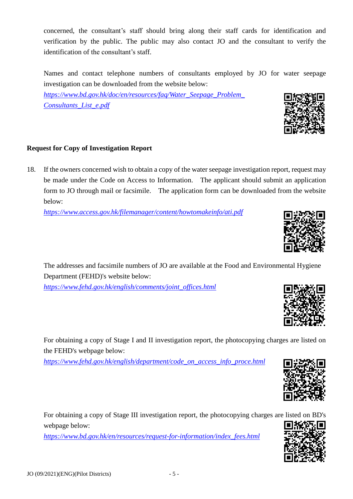concerned, the consultant's staff should bring along their staff cards for identification and verification by the public. The public may also contact JO and the consultant to verify the identification of the consultant's staff

identification of the consultant's staff.<br>Names and contact telephone numbers of consultants employed by JO for water seepage investigation can be downloaded from the website below:

*[https://www.bd.gov.hk/doc/en/resources/faq/Water\\_Seepage\\_Problem\\_](https://www.bd.gov.hk/doc/en/resources/faq/Water_Seepage_Problem_Consultants_List_e.pdf)  [Consultants\\_List\\_e.pdf](https://www.bd.gov.hk/doc/en/resources/faq/Water_Seepage_Problem_Consultants_List_e.pdf)* 

# **Request for Copy of Investigation Report**

 18. If the owners concerned wish to obtain a copy of the water seepage investigation report, request may be made under the Code on Access to Information. The applicant should submit an application form to JO through mail or facsimile. The application form can be downloaded from the website below:

*<https://www.access.gov.hk/filemanager/content/howtomakeinfo/ati.pdf>*

 The addresses and facsimile numbers of JO are available at the Food and Environmental Hygiene Department (FEHD)'s website below:

*[https://www.fehd.gov.hk/english/comments/joint\\_offices.html](https://www.fehd.gov.hk/english/comments/joint_offices.html)* 

 For obtaining a copy of Stage I and II investigation report, the photocopying charges are listed on the FEHD's webpage below:

*[https://www.fehd.gov.hk/english/department/code\\_on\\_access\\_info\\_proce.html](https://www.fehd.gov.hk/english/department/code_on_access_info_proce.html)* 

 For obtaining a copy of Stage III investigation report, the photocopying charges are listed on BD's webpage below:

 $-5-$ 

*[https://www.bd.gov.hk/en/resources/request-for-information/index\\_fees.html](https://www.bd.gov.hk/en/resources/request-for-information/index_fees.html)* 







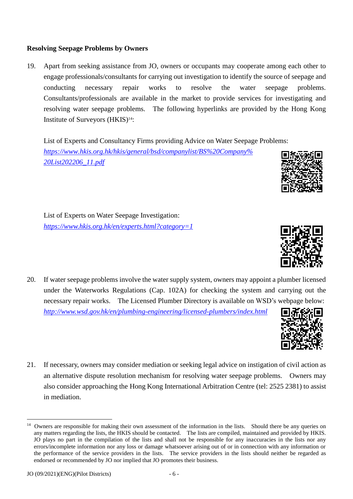1

#### **Resolving Seepage Problems by Owners**

 19. Apart from seeking assistance from JO, owners or occupants may cooperate among each other to engage professionals/consultants for carrying out investigation to identify the source of seepage and problems. conducting necessary repair works to resolve the water seepage problems. Consultants/professionals are available in the market to provide services for investigating and resolving water seepage problems. The following hyperlinks are provided by the Hong Kong Institute of Surveyors (HKIS)<sup>14</sup>:

List of Experts and Consultancy Firms providing Advice on Water Seepage Problems: *[https://www.hkis.org.hk/hkis/general/bsd/companylist/BS%20Company%](https://www.hkis.org.hk/hkis/general/bsd/companylist/BS%20Company%20List202206_11.pdf)  [20List202206\\_11.pdf](https://www.hkis.org.hk/hkis/general/bsd/companylist/BS%20Company%20List202206_11.pdf)* 

 [List of Experts on Water Seepage Investigation:](http://www.hkis.org.hk/bsd/en/about_bsd_list_of_experts2.php) *<https://www.hkis.org.hk/en/experts.html?category=1>*

- 20. If water seepage problems involve the water supply system, owners may appoint a plumber licensed under the Waterworks Regulations (Cap. 102A) for checking the system and carrying out the necessary repair works. The Licensed Plumber Directory is available on WSD's webpage below: *<http://www.wsd.gov.hk/en/plumbing-engineering/licensed-plumbers/index.html>*
- 21. If necessary, owners may consider mediation or seeking legal advice on instigation of civil action as an alternative dispute resolution mechanism for resolving water seepage problems. Owners may also consider approaching the [Hong Kong International Arbitration Centre](http://hkiac.org/) (tel: 2525 2381) to assist in mediation.





 any matters regarding the lists, the HKIS should be contacted. The lists are compiled, maintained and provided by HKIS. JO plays no part in the compilation of the lists and shall not be responsible for any inaccuracies in the lists nor any errors/incomplete information nor any loss or damage whatsoever arising out of or in connection with any information or the performance of the service providers in the lists. The service providers in the lists should neither be regarded as endorsed or recommended by JO nor implied that JO promotes their business. <sup>14</sup> Owners are responsible for making their own assessment of the information in the lists. Should there be any queries on